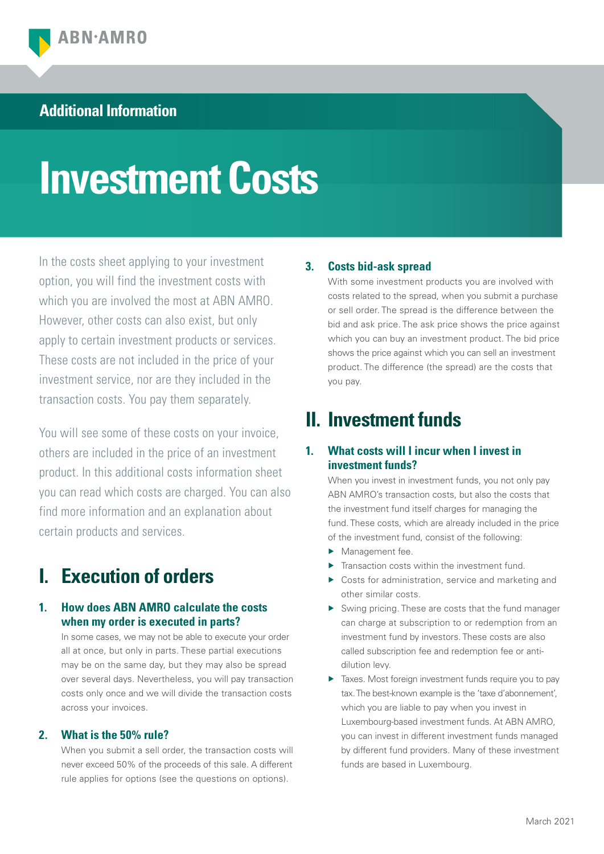### **Additional Information**

# **Investment Costs**

In the costs sheet applying to your investment option, you will find the investment costs with which you are involved the most at ABN AMRO. However, other costs can also exist, but only apply to certain investment products or services. These costs are not included in the price of your investment service, nor are they included in the transaction costs. You pay them separately.

You will see some of these costs on your invoice, others are included in the price of an investment product. In this additional costs information sheet you can read which costs are charged. You can also find more information and an explanation about certain products and services.

# **I. Execution of orders**

### **1. How does ABN AMRO calculate the costs when my order is executed in parts?**

 In some cases, we may not be able to execute your order all at once, but only in parts. These partial executions may be on the same day, but they may also be spread over several days. Nevertheless, you will pay transaction costs only once and we will divide the transaction costs across your invoices.

### **2. What is the 50% rule?**

 When you submit a sell order, the transaction costs will never exceed 50% of the proceeds of this sale. A different rule applies for options (see the questions on options).

### **3. Costs bid-ask spread**

 With some investment products you are involved with costs related to the spread, when you submit a purchase or sell order. The spread is the difference between the bid and ask price. The ask price shows the price against which you can buy an investment product. The bid price shows the price against which you can sell an investment product. The difference (the spread) are the costs that you pay.

### **II. Investment funds**

### **1. What costs will I incur when I invest in investment funds?**

 When you invest in investment funds, you not only pay ABN AMRO's transaction costs, but also the costs that the investment fund itself charges for managing the fund. These costs, which are already included in the price of the investment fund, consist of the following:

- Management fee.
- $\blacktriangleright$  Transaction costs within the investment fund.
- ▶ Costs for administration, service and marketing and other similar costs.
- Swing pricing. These are costs that the fund manager can charge at subscription to or redemption from an investment fund by investors. These costs are also called subscription fee and redemption fee or antidilution levy.
- $\blacktriangleright$  Taxes. Most foreign investment funds require you to pay tax. The best-known example is the 'taxe d'abonnement', which you are liable to pay when you invest in Luxembourg-based investment funds. At ABN AMRO, you can invest in different investment funds managed by different fund providers. Many of these investment funds are based in Luxembourg.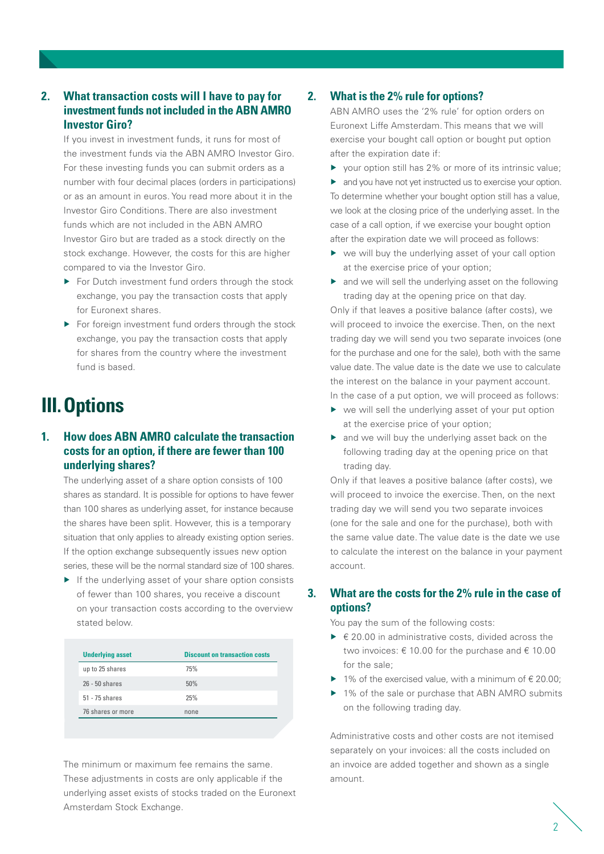### **2. What transaction costs will I have to pay for investment funds not included in the ABN AMRO Investor Giro?**

 If you invest in investment funds, it runs for most of the investment funds via the ABN AMRO Investor Giro. For these investing funds you can submit orders as a number with four decimal places (orders in participations) or as an amount in euros. You read more about it in the Investor Giro Conditions. There are also investment funds which are not included in the ABN AMRO Investor Giro but are traded as a stock directly on the stock exchange. However, the costs for this are higher compared to via the Investor Giro.

- For Dutch investment fund orders through the stock exchange, you pay the transaction costs that apply for Euronext shares.
- $\blacktriangleright$  For foreign investment fund orders through the stock exchange, you pay the transaction costs that apply for shares from the country where the investment fund is based.

# **III.Options**

### **1. How does ABN AMRO calculate the transaction costs for an option, if there are fewer than 100 underlying shares?**

 The underlying asset of a share option consists of 100 shares as standard. It is possible for options to have fewer than 100 shares as underlying asset, for instance because the shares have been split. However, this is a temporary situation that only applies to already existing option series. If the option exchange subsequently issues new option series, these will be the normal standard size of 100 shares.

 $\blacktriangleright$  If the underlying asset of your share option consists of fewer than 100 shares, you receive a discount on your transaction costs according to the overview stated below.

| <b>Underlying asset</b> | <b>Discount on transaction costs</b> |
|-------------------------|--------------------------------------|
| up to 25 shares         | 75%                                  |
| $26 - 50$ shares        | 50%                                  |
| 51 - 75 shares          | 25%                                  |
| 76 shares or more       | none                                 |

 The minimum or maximum fee remains the same. These adjustments in costs are only applicable if the underlying asset exists of stocks traded on the Euronext Amsterdam Stock Exchange.

### **2. What is the 2% rule for options?**

 ABN AMRO uses the '2% rule' for option orders on Euronext Liffe Amsterdam. This means that we will exercise your bought call option or bought put option after the expiration date if:

 $\triangleright$  vour option still has 2% or more of its intrinsic value;

 $\blacktriangleright$  and you have not yet instructed us to exercise your option. To determine whether your bought option still has a value, we look at the closing price of the underlying asset. In the case of a call option, if we exercise your bought option after the expiration date we will proceed as follows:

- ▶ we will buy the underlying asset of your call option at the exercise price of your option;
- $\triangleright$  and we will sell the underlying asset on the following trading day at the opening price on that day.

 Only if that leaves a positive balance (after costs), we will proceed to invoice the exercise. Then, on the next trading day we will send you two separate invoices (one for the purchase and one for the sale), both with the same value date. The value date is the date we use to calculate the interest on the balance in your payment account.

In the case of a put option, we will proceed as follows:

- ▶ we will sell the underlying asset of your put option at the exercise price of your option;
- ▶ and we will buy the underlying asset back on the following trading day at the opening price on that trading day.

 Only if that leaves a positive balance (after costs), we will proceed to invoice the exercise. Then, on the next trading day we will send you two separate invoices (one for the sale and one for the purchase), both with the same value date. The value date is the date we use to calculate the interest on the balance in your payment account.

### **3. What are the costs for the 2% rule in the case of options?**

You pay the sum of the following costs:

- $\triangleright$   $\in$  20.00 in administrative costs, divided across the two invoices:  $\epsilon$  10.00 for the purchase and  $\epsilon$  10.00 for the sale;
- ▶ 1% of the exercised value, with a minimum of  $€ 20.00;$
- ▶ 1% of the sale or purchase that ABN AMRO submits on the following trading day.

 Administrative costs and other costs are not itemised separately on your invoices: all the costs included on an invoice are added together and shown as a single amount.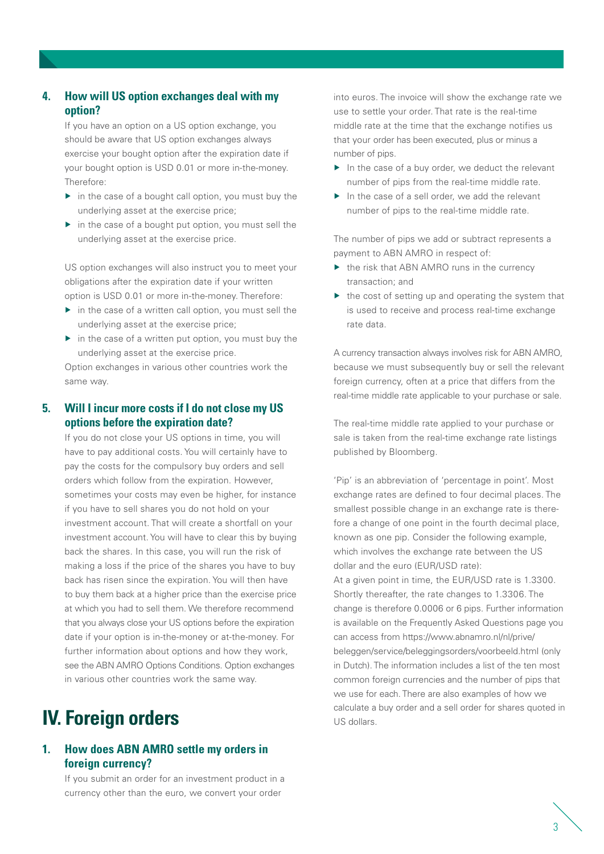### **4. How will US option exchanges deal with my option?**

 If you have an option on a US option exchange, you should be aware that US option exchanges always exercise your bought option after the expiration date if your bought option is USD 0.01 or more in-the-money. Therefore:

- in the case of a bought call option, you must buy the underlying asset at the exercise price;
- $\triangleright$  in the case of a bought put option, you must sell the underlying asset at the exercise price.

 US option exchanges will also instruct you to meet your obligations after the expiration date if your written option is USD 0.01 or more in-the-money. Therefore:

- $\triangleright$  in the case of a written call option, you must sell the underlying asset at the exercise price;
- $\triangleright$  in the case of a written put option, you must buy the underlying asset at the exercise price.

 Option exchanges in various other countries work the same way.

### **5. Will I incur more costs if I do not close my US options before the expiration date?**

 If you do not close your US options in time, you will have to pay additional costs. You will certainly have to pay the costs for the compulsory buy orders and sell orders which follow from the expiration. However, sometimes your costs may even be higher, for instance if you have to sell shares you do not hold on your investment account. That will create a shortfall on your investment account. You will have to clear this by buying back the shares. In this case, you will run the risk of making a loss if the price of the shares you have to buy back has risen since the expiration. You will then have to buy them back at a higher price than the exercise price at which you had to sell them. We therefore recommend that you always close your US options before the expiration date if your option is in-the-money or at-the-money. For further information about options and how they work. see the ABN AMRO Options Conditions. Option exchanges in various other countries work the same way.

# **IV. Foreign orders**

### **1. How does ABN AMRO settle my orders in foreign currency?**

 If you submit an order for an investment product in a currency other than the euro, we convert your order

into euros. The invoice will show the exchange rate we use to settle your order. That rate is the real-time middle rate at the time that the exchange notifies us that your order has been executed, plus or minus a number of pips.

- $\blacktriangleright$  In the case of a buy order, we deduct the relevant number of pips from the real-time middle rate.
- In the case of a sell order, we add the relevant number of pips to the real-time middle rate.

 The number of pips we add or subtract represents a payment to ABN AMRO in respect of:

- $\triangleright$  the risk that ABN AMRO runs in the currency transaction; and
- $\blacktriangleright$  the cost of setting up and operating the system that is used to receive and process real-time exchange rate data.

 A currency transaction always involves risk for ABN AMRO, because we must subsequently buy or sell the relevant foreign currency, often at a price that differs from the real-time middle rate applicable to your purchase or sale.

The real-time middle rate applied to your purchase or sale is taken from the real-time exchange rate listings published by Bloomberg.

 'Pip' is an abbreviation of 'percentage in point'. Most exchange rates are defined to four decimal places. The smallest possible change in an exchange rate is therefore a change of one point in the fourth decimal place, known as one pip. Consider the following example, which involves the exchange rate between the US dollar and the euro (EUR/USD rate):

 At a given point in time, the EUR/USD rate is 1.3300. Shortly thereafter, the rate changes to 1.3306. The change is therefore 0.0006 or 6 pips. Further information is available on the Frequently Asked Questions page you can access from https://www.abnamro.nl/nl/prive/ beleggen/service/beleggingsorders/voorbeeld.html (only in Dutch). The information includes a list of the ten most common foreign currencies and the number of pips that we use for each. There are also examples of how we calculate a buy order and a sell order for shares quoted in US dollars.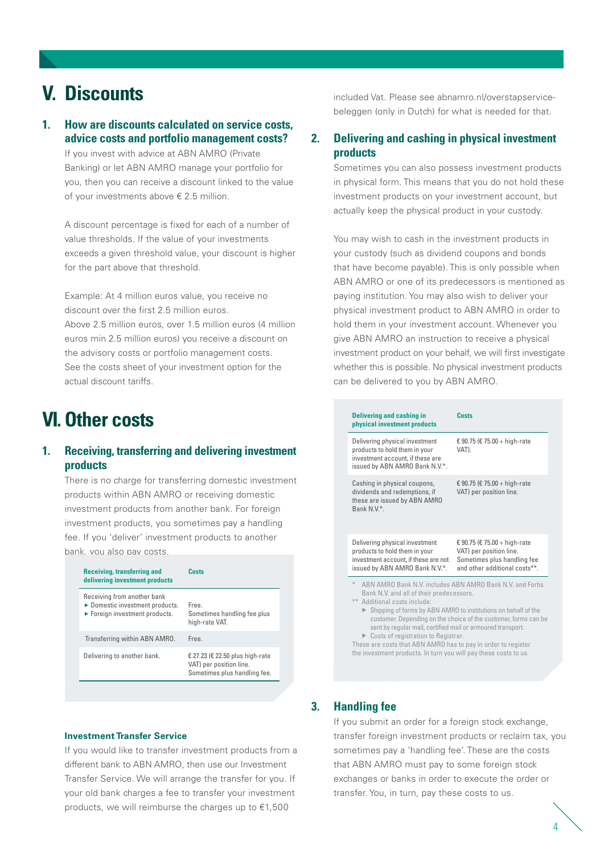### **V. Discounts**

### **1. How are discounts calculated on service costs, advice costs and portfolio management costs?**

 If you invest with advice at ABN AMRO (Private Banking) or let ABN AMRO manage your portfolio for you, then you can receive a discount linked to the value of your investments above € 2.5 million.

 A discount percentage is fixed for each of a number of value thresholds. If the value of your investments exceeds a given threshold value, your discount is higher for the part above that threshold.

 Example: At 4 million euros value, you receive no discount over the first 2.5 million euros. Above 2.5 million euros, over 1.5 million euros (4 million euros min 2.5 million euros) you receive a discount on the advisory costs or portfolio management costs. See the costs sheet of your investment option for the actual discount tariffs.

### **VI. Other costs**

### **1. Receiving, transferring and delivering investment products**

 There is no charge for transferring domestic investment products within ABN AMRO or receiving domestic investment products from another bank. For foreign investment products, you sometimes pay a handling fee. If you 'deliver' investment products to another bank, you also pay costs.

| <b>Receiving, transferring and</b><br>delivering investment products                                                 | Costs                                                                                      |
|----------------------------------------------------------------------------------------------------------------------|--------------------------------------------------------------------------------------------|
| Receiving from another bank<br>▶ Domestic investment products.<br>$\blacktriangleright$ Foreign investment products. | Free<br>Sometimes handling fee plus<br>high-rate VAT.                                      |
| Transferring within ABN AMRO.                                                                                        | Free                                                                                       |
| Delivering to another bank.                                                                                          | € 27.23 (€ 22.50 plus high-rate<br>VAT) per position line.<br>Sometimes plus handling fee. |

**Investment Transfer Service**

 If you would like to transfer investment products from a different bank to ABN AMRO, then use our Investment Transfer Service. We will arrange the transfer for you. If your old bank charges a fee to transfer your investment products, we will reimburse the charges up to €1,500

 included Vat. Please see abnamro.nl/overstapservicebeleggen (only in Dutch) for what is needed for that.

### **2. Delivering and cashing in physical investment products**

 Sometimes you can also possess investment products in physical form. This means that you do not hold these investment products on your investment account, but actually keep the physical product in your custody.

 You may wish to cash in the investment products in your custody (such as dividend coupons and bonds that have become payable). This is only possible when ABN AMRO or one of its predecessors is mentioned as paying institution. You may also wish to deliver your physical investment product to ABN AMRO in order to hold them in your investment account. Whenever you give ABN AMRO an instruction to receive a physical investment product on your behalf, we will first investigate whether this is possible. No physical investment products can be delivered to you by ABN AMRO.

| <b>Delivering and cashing in</b><br>physical investment products                                                                                                                                                     | Costs                                                                                                                   |
|----------------------------------------------------------------------------------------------------------------------------------------------------------------------------------------------------------------------|-------------------------------------------------------------------------------------------------------------------------|
| Delivering physical investment<br>products to hold them in your<br>investment account, if these are<br>issued by ABN AMRO Bank N.V.*.                                                                                | € 90.75 (€ 75.00 + high-rate<br>VAT).                                                                                   |
| Cashing in physical coupons,<br>dividends and redemptions, if<br>these are issued by ABN AMRO<br>Bank N.V.*.                                                                                                         | € 90.75 (€ 75.00 + high-rate<br>VAT) per position line.                                                                 |
| Delivering physical investment<br>products to hold them in your<br>investment account, if these are not<br>issued by ABN AMRO Bank N.V.*.                                                                            | € 90.75 (€ 75.00 + high-rate<br>VAT) per position line.<br>Sometimes plus handling fee<br>and other additional costs**. |
| ⋇<br>ABN AMRO Bank N.V. includes ABN AMRO Bank N.V. and Fortis<br>Bank N.V. and all of their predecessors.<br>Additional costs include:<br>$***$<br>▶ Shipping of forms by ABN AMRO to institutions on behalf of the | ayakamay Dananding an tha abaian af tha ayakamay famoa aan ba                                                           |

customer. Depending on the choice of the customer, forms can be sent by regular mail, certified mail or armoured transport. ▶ Costs of registration to Registrar.

These are costs that ABN AMRO has to pay in order to register the investment products. In turn you will pay these costs to us.

### **3. Handling fee**

 If you submit an order for a foreign stock exchange, transfer foreign investment products or reclaim tax, you sometimes pay a 'handling fee'. These are the costs that ABN AMRO must pay to some foreign stock exchanges or banks in order to execute the order or transfer. You, in turn, pay these costs to us.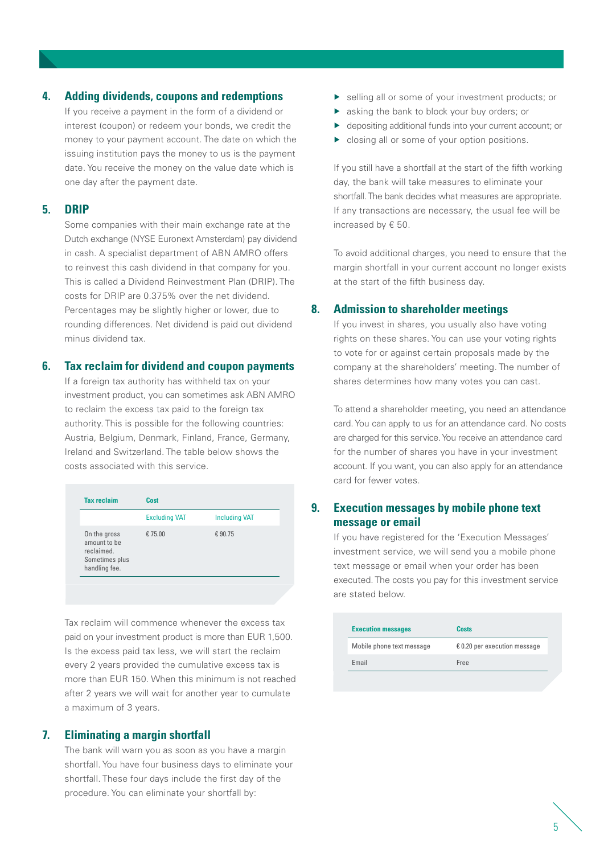#### **4. Adding dividends, coupons and redemptions**

 If you receive a payment in the form of a dividend or interest (coupon) or redeem your bonds, we credit the money to your payment account. The date on which the issuing institution pays the money to us is the payment date. You receive the money on the value date which is one day after the payment date.

#### **5. DRIP**

 Some companies with their main exchange rate at the Dutch exchange (NYSE Euronext Amsterdam) pay dividend in cash. A specialist department of ABN AMRO offers to reinvest this cash dividend in that company for you. This is called a Dividend Reinvestment Plan (DRIP). The costs for DRIP are 0.375% over the net dividend. Percentages may be slightly higher or lower, due to rounding differences. Net dividend is paid out dividend minus dividend tax.

#### **6. Tax reclaim for dividend and coupon payments**

 If a foreign tax authority has withheld tax on your investment product, you can sometimes ask ABN AMRO to reclaim the excess tax paid to the foreign tax authority. This is possible for the following countries: Austria, Belgium, Denmark, Finland, France, Germany, Ireland and Switzerland. The table below shows the costs associated with this service.

| <b>Tax reclaim</b>                                                            | Cost                 |                      |
|-------------------------------------------------------------------------------|----------------------|----------------------|
|                                                                               | <b>Excluding VAT</b> | <b>Including VAT</b> |
| On the gross<br>amount to be<br>reclaimed.<br>Sometimes plus<br>handling fee. | € 75.00              | €90.75               |

 Tax reclaim will commence whenever the excess tax paid on your investment product is more than EUR 1,500. Is the excess paid tax less, we will start the reclaim every 2 years provided the cumulative excess tax is more than EUR 150. When this minimum is not reached after 2 years we will wait for another year to cumulate a maximum of 3 years.

### **7. Eliminating a margin shortfall**

 The bank will warn you as soon as you have a margin shortfall. You have four business days to eliminate your shortfall. These four days include the first day of the procedure. You can eliminate your shortfall by:

- selling all or some of your investment products; or
- sasking the bank to block your buy orders; or
- depositing additional funds into your current account; or
- **Closing all or some of your option positions.**

 If you still have a shortfall at the start of the fifth working day, the bank will take measures to eliminate your shortfall. The bank decides what measures are appropriate. If any transactions are necessary, the usual fee will be increased by € 50.

 To avoid additional charges, you need to ensure that the margin shortfall in your current account no longer exists at the start of the fifth business day.

### **8. Admission to shareholder meetings**

 If you invest in shares, you usually also have voting rights on these shares. You can use your voting rights to vote for or against certain proposals made by the company at the shareholders' meeting. The number of shares determines how many votes you can cast.

 To attend a shareholder meeting, you need an attendance card. You can apply to us for an attendance card. No costs are charged for this service. You receive an attendance card for the number of shares you have in your investment account. If you want, you can also apply for an attendance card for fewer votes.

### **9. Execution messages by mobile phone text message or email**

 If you have registered for the 'Execution Messages' investment service, we will send you a mobile phone text message or email when your order has been executed. The costs you pay for this investment service are stated below.

| Costs                                 |
|---------------------------------------|
| $\epsilon$ 0.20 per execution message |
| Free                                  |
|                                       |